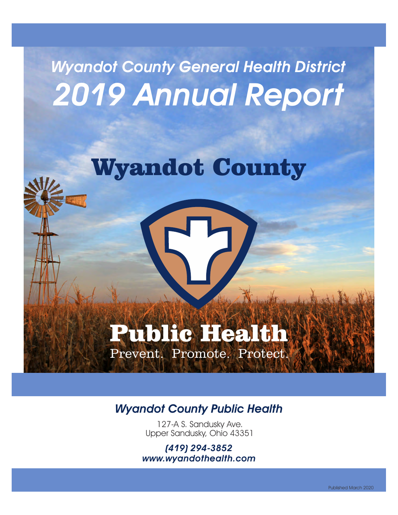# Wyandot County General Health District 2019 Annual Report

# Wyandot County

# Public Health

Prevent. Promote. Protect.

### Wyandot County Public Health

127-A S. Sandusky Ave. Upper Sandusky, Ohio 43351

(419) 294-3852 www.wyandothealth.com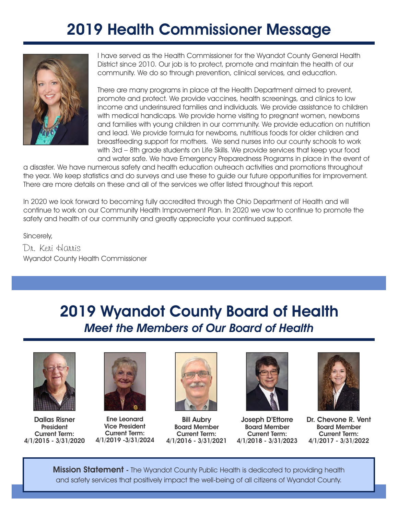# 2019 Health Commissioner Message



I have served as the Health Commissioner for the Wyandot County General Health District since 2010. Our job is to protect, promote and maintain the health of our community. We do so through prevention, clinical services, and education.

There are many programs in place at the Health Department aimed to prevent, promote and protect. We provide vaccines, health screenings, and clinics to low income and underinsured families and individuals. We provide assistance to children with medical handicaps. We provide home visiting to pregnant women, newborns and families with young children in our community. We provide education on nutrition and lead. We provide formula for newborns, nutritious foods for older children and breastfeeding support for mothers. We send nurses into our county schools to work with 3rd – 8th grade students on Life Skills. We provide services that keep your food and water safe. We have Emergency Preparedness Programs in place in the event of

a disaster. We have numerous safety and health education outreach activities and promotions throughout the year. We keep statistics and do surveys and use these to guide our future opportunities for improvement. There are more details on these and all of the services we offer listed throughout this report.

In 2020 we look forward to becoming fully accredited through the Ohio Department of Health and will continue to work on our Community Health Improvement Plan. In 2020 we vow to continue to promote the safety and health of our community and greatly appreciate your continued support.

Sincerely,

Dr. Keri Harris Wyandot County Health Commissioner

### Meet the Members of Our Board of Health 2019 Wyandot County Board of Health



Dallas Risner **President** Current Term: 4/1/2015 - 3/31/2020



Ene Leonard Vice President Current Term: 4/1/2019 -3/31/2024



Bill Aubry Board Member Current Term: 4/1/2016 - 3/31/2021



Joseph D'Ettorre Board Member Current Term: 4/1/2018 - 3/31/2023



Dr. Chevone R. Vent Board Member Current Term: 4/1/2017 - 3/31/2022

**Mission Statement** - The Wyandot County Public Health is dedicated to providing health and safety services that positively impact the well-being of all citizens of Wyandot County.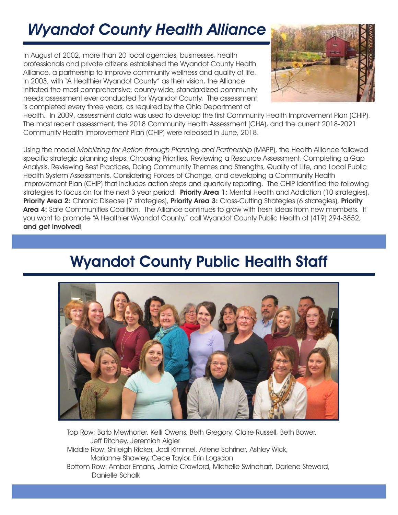# Wyandot County Health Alliance

In August of 2002, more than 20 local agencies, businesses, health professionals and private citizens established the Wyandot County Health Alliance, a partnership to improve community wellness and quality of life. In 2003, with "A Healthier Wyandot County" as their vision, the Alliance initiated the most comprehensive, county-wide, standardized community needs assessment ever conducted for Wyandot County. The assessment is completed every three years, as required by the Ohio Department of



Health. In 2009, assessment data was used to develop the first Community Health Improvement Plan (CHIP). The most recent assessment, the 2018 Community Health Assessment (CHA), and the current 2018-2021 Community Health Improvement Plan (CHIP) were released in June, 2018.

Using the model Mobilizing for Action through Planning and Partnership (MAPP), the Health Alliance followed specific strategic planning steps: Choosing Priorities, Reviewing a Resource Assessment, Completing a Gap Analysis, Reviewing Best Practices, Doing Community Themes and Strengths, Quality of Life, and Local Public Health System Assessments, Considering Forces of Change, and developing a Community Health Improvement Plan (CHIP) that includes action steps and quarterly reporting. The CHIP identified the following strategies to focus on for the next 3 year period: **Priority Area 1:** Mental Health and Addiction (10 strategies), Priority Area 2: Chronic Disease (7 strategies), Priority Area 3: Cross-Cutting Strategies (6 strategies), Priority Area 4: Safe Communities Coalition. The Alliance continues to grow with fresh ideas from new members. If you want to promote "A Healthier Wyandot County," call Wyandot County Public Health at (419) 294-3852, and get involved!

## Wyandot County Public Health Staff



Top Row: Barb Mewhorter, Kelli Owens, Beth Gregory, Claire Russell, Beth Bower, Middle Row: Shileigh Ricker, Jodi Kimmel, Arlene Schriner, Ashley Wick, Jeff Ritchey, Jeremiah Aigler Marianne Shawley, Cece Taylor, Erin Logsdon Bottom Row: Amber Emans, Jamie Crawford, Michelle Swinehart, Darlene Steward, Danielle Schalk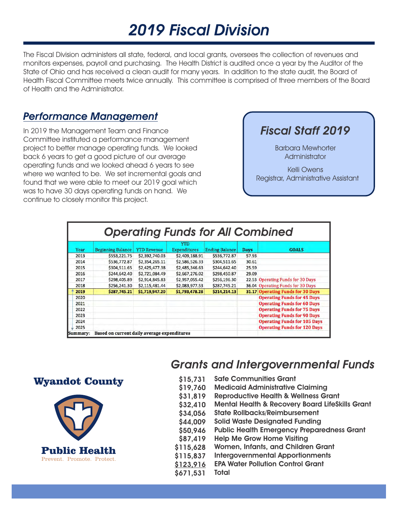## 2019 Fiscal Division

The Fiscal Division administers all state, federal, and local grants, oversees the collection of revenues and monitors expenses, payroll and purchasing. The Health District is audited once a year by the Auditor of the State of Ohio and has received a clean audit for many years. In addition to the state audit, the Board of Health Fiscal Committee meets twice annually. This committee is comprised of three members of the Board of Health and the Administrator.

#### Performance Management

In 2019 the Management Team and Finance Committee instituted a performance management project to better manage operating funds. We looked back 6 years to get a good picture of our average operating funds and we looked ahead 6 years to see where we wanted to be. We set incremental goals and found that we were able to meet our 2019 goal which was to have 30 days operating funds on hand. We continue to closely monitor this project.

### Fiscal Staff 2019

Barbara Mewhorter **Administrator** 

Kelli Owens Registrar, Administrative Assistant

|          |                                             |                    |                                   |                       |             | <b>Operating Funds for All Combined</b>  |  |
|----------|---------------------------------------------|--------------------|-----------------------------------|-----------------------|-------------|------------------------------------------|--|
| Year     | <b>Beginning Balance</b>                    | <b>YTD Revenue</b> | <b>YTD</b><br><b>Expenditures</b> | <b>Ending Balance</b> | <b>Days</b> | <b>GOALS</b>                             |  |
| 2013     | \$553,221.75                                | \$2,392,740.03     | \$2,409,188.91                    | \$536,772.87          | 57.93       |                                          |  |
| 2014     | \$536,772.87                                | \$2,354,265.11     | \$2,586,526.33                    | \$304,511.65          | 30.61       |                                          |  |
| 2015     | \$304,511.65                                | \$2,425,477.38     | \$2,485,346.63                    | \$244,642.40          | 25.59       |                                          |  |
| 2016     | \$244,642.40                                | \$2,721,084.49     | \$2,667,276.02                    | \$298,450.87          | 29.09       |                                          |  |
| 2017     | \$298,405.89                                | \$2,914,845.83     | \$2,957,055.42                    | \$256,196.30          |             | 22.53 Operating Funds for 30 Days        |  |
| 2018     | \$256,241.30                                | \$2,115,481.44     | \$2,083,977.53                    | \$287,745.21          |             | 36.04 Operating Funds for 30 Days        |  |
| 2019     | \$287,745.21                                | \$1,719,947.20     | \$1,793,478.28                    | \$214,214.13          |             | <b>31.17 Operating Funds for 30 Days</b> |  |
| 2020     |                                             |                    |                                   |                       |             | <b>Operating Funds for 45 Days</b>       |  |
| 2021     |                                             |                    |                                   |                       |             | <b>Operating Funds for 60 Days</b>       |  |
| 2022     |                                             |                    |                                   |                       |             | <b>Operating Funds for 75 Days</b>       |  |
| 2023     |                                             |                    |                                   |                       |             | <b>Operating Funds for 90 Days</b>       |  |
| 2024     |                                             |                    |                                   |                       |             | <b>Operating Funds for 105 Days</b>      |  |
| 2025     |                                             |                    |                                   |                       |             | <b>Operating Funds for 120 Days</b>      |  |
| Summary: | Based on current daily average expenditures |                    |                                   |                       |             |                                          |  |

#### Wyandot County



### Grants and Intergovernmental Funds

- \$15,731 Safe Communities Grant
- \$19,760 Medicaid Administrative Claiming
- \$31,819 Reproductive Health & Wellness Grant
- \$32,410 Mental Health & Recovery Board LifeSkills Grant
- \$34,056 State Rollbacks/Reimbursement
- \$44,009 Solid Waste Designated Funding
- \$50,946 Public Health Emergency Preparedness Grant
- \$87,419 Help Me Grow Home Visiting
- \$115,628 Women, Infants, and Children Grant
- \$115,837 Intergovernmental Apportionments
- \$123,916 EPA Water Pollution Control Grant
- \$671,531 **Total**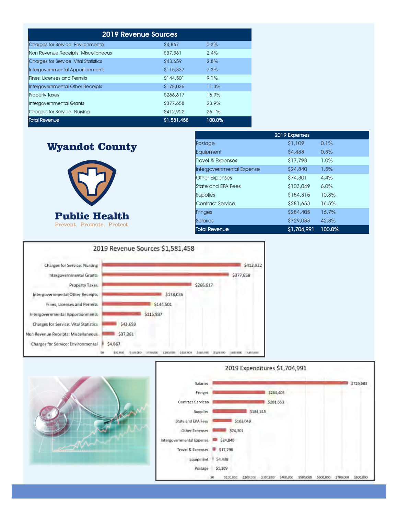| <b>2019 Revenue Sources</b>           |             |        |  |  |
|---------------------------------------|-------------|--------|--|--|
| Charges for Service: Environmental    | \$4,867     | 0.3%   |  |  |
| Non Revenue Receipts: Miscellaneous   | \$37,361    | 2.4%   |  |  |
| Charges for Service: Vital Statistics | \$43,659    | 2.8%   |  |  |
| Intergovernmental Apportionments      | \$115,837   | 7.3%   |  |  |
| <b>IFines, Licenses and Permits</b>   | \$144,501   | 9.1%   |  |  |
| Intergovernmental Other Receipts      | \$178,036   | 11.3%  |  |  |
| <b>Property Taxes</b>                 | \$266,617   | 16.9%  |  |  |
| Intergovernmental Grants              | \$377,658   | 23.9%  |  |  |
| Charges for Service: Nursing          | \$412,922   | 26.1%  |  |  |
| <b>Total Revenue</b>                  | \$1,581,458 | 100.0% |  |  |

#### Wyandot County



|                             | 2019 Expenses |        |
|-----------------------------|---------------|--------|
| Postage                     | \$1,109       | 0.1%   |
| Equipment                   | \$4,438       | 0.3%   |
| Travel & Expenses           | \$17,798      | 1.0%   |
| Intergovernmental Expense   | \$24,840      | 1.5%   |
| <b>Other Expenses</b>       | \$74,301      | 4.4%   |
| <b>I</b> State and EPA Fees | \$103,049     | 6.0%   |
| Supplies                    | \$184,315     | 10.8%  |
| Contract Service            | \$281,653     | 16.5%  |
| Fringes                     | \$284,405     | 16.7%  |
| Salaries                    | \$729,083     | 42.8%  |
| <b>Total Revenue</b>        | \$1,704,991   | 100.0% |



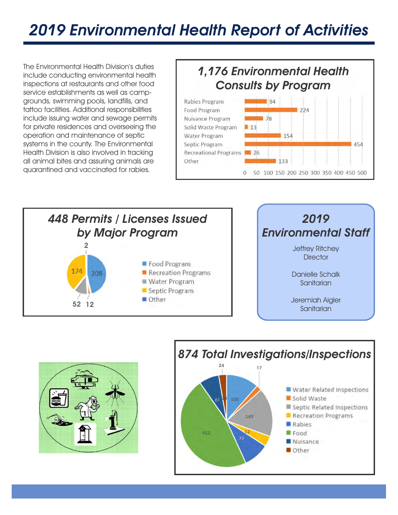# 2019 Environmental Health Report of Activities

The Environmental Health Division's duties include conducting environmental health inspections at restaurants and other food service establishments as well as campgrounds, swimming pools, landfills, and tattoo facilities. Additional responsibilities include issuing water and sewage permits for private residences and overseeing the operation and maintenance of septic systems in the county. The Environmental Health Division is also involved in tracking all animal bites and assuring animals are quarantined and vaccinated for rabies.







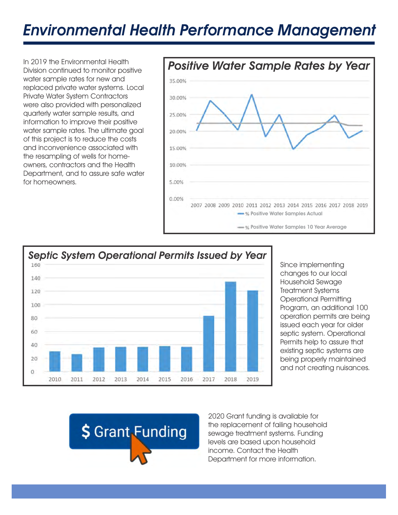# Environmental Health Performance Management

In 2019 the Environmental Health Division continued to monitor positive water sample rates for new and replaced private water systems. Local Private Water System Contractors were also provided with personalized quarterly water sample results, and information to improve their positive water sample rates. The ultimate goal of this project is to reduce the costs and inconvenience associated with the resampling of wells for homeowners, contractors and the Health Department, and to assure safe water for homeowners.





Since implementing changes to our local Household Sewage Treatment Systems Operational Permitting Program, an additional 100 operation permits are being issued each year for older septic system. Operational Permits help to assure that existing septic systems are being properly maintained and not creating nuisances.



2020 Grant funding is available for the replacement of failing household sewage treatment systems. Funding levels are based upon household income. Contact the Health Department for more information.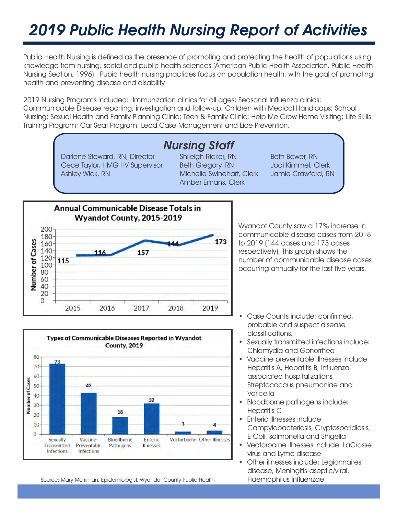# 2019 Public Health Nursing Report of Activities

Public Health Nursing is defined as the presence of promoting and protecting the health of populations using knowledge from nursing, social and public health sciences (American Public Health Association, Public Health Nursing Section, 1996). Pubic health nursing practices focus on population health, with the goal of promoting health and preventing disease and disability.

2019 Nursing Programs included: Immunization clinics for all ages; Seasonal Influenza clinics; Communicable Disease reporting, investigation and follow-up; Children with Medical Handicaps; School Nursing; Sexual Health and Family Planning Clinic; Teen & Family Clinic; Help Me Grow Home Visiting; Life Skills Training Program; Car Seat Program; Lead Case Management and Lice Prevention.

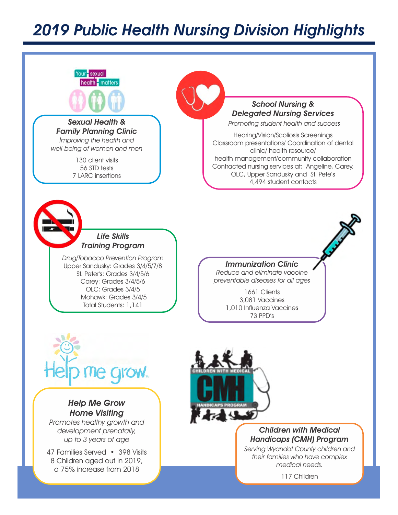## 2019 Public Health Nursing Division Highlights

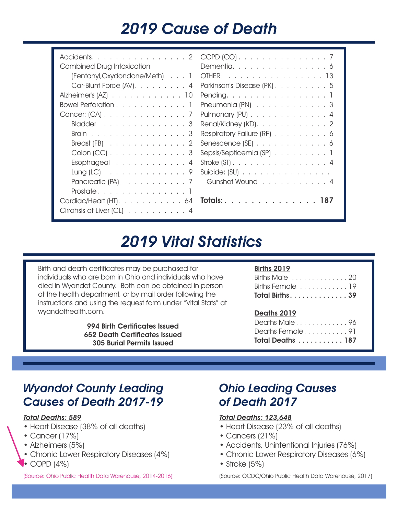### 2019 Cause of Death

| Accidents. 2                                                                                                                                                                                             | $COPD (CO)$ . 7                                                                                    |
|----------------------------------------------------------------------------------------------------------------------------------------------------------------------------------------------------------|----------------------------------------------------------------------------------------------------|
| Combined Drug Intoxication                                                                                                                                                                               |                                                                                                    |
| (Fentanyl, Oxydondone/Meth) 1                                                                                                                                                                            | OTHER 13                                                                                           |
| Car-Blunt Force (AV). 4                                                                                                                                                                                  | Parkinson's Disease (PK) 5                                                                         |
| Alzheimer's $(AZ)$ 10                                                                                                                                                                                    | Pending. 1                                                                                         |
|                                                                                                                                                                                                          | Pneumonia $(PN)$ 3                                                                                 |
| Cancer: (CA) 7                                                                                                                                                                                           | Pulmonary (PU) 4                                                                                   |
| Bladder 3                                                                                                                                                                                                | Renal/Kidney (KD). $\ldots$ $\ldots$ $\ldots$ $\ldots$ $\ldots$ 2                                  |
| Brain $\ldots$ 3                                                                                                                                                                                         | Respiratory Failure (RF) 6                                                                         |
| Breast $(FB)$ 2                                                                                                                                                                                          | Senescence $(SE)$ 6                                                                                |
| $\mathsf{Colon}(\mathsf{CC})$ 3<br>Esophageal 4<br>$Lung (LC)$ 9<br>Pancreatic $(PA)$ 7<br>Prostate1<br>Cardiac/Heart (HT). 64<br>Cirrohsis of Liver (CL) $\ldots$ $\ldots$ $\ldots$ $\ldots$ $\ldots$ 4 | Sepsis/Septicemia (SP) 1<br>Stroke $(ST)$ . 4<br>Suicide: $(SU)$<br>Gunshot Wound 4<br>Totals: 187 |

## 2019 Vital Statistics

Birth and death certificates may be purchased for individuals who are born in Ohio and individuals who have died in Wyandot County. Both can be obtained in person at the health department, or by mail order following the instructions and using the request form under "Vital Stats" at wyandothealth.com.

> 652 Death Certificates Issued 994 Birth Certificates Issued 305 Burial Permits Issued

#### Births 2019

| Births Male 20    |  |
|-------------------|--|
| Births Female  19 |  |
| Total Births39    |  |

#### Deaths 2019

| <b>Total Deaths</b> 187 |  |  |  |
|-------------------------|--|--|--|
| Deaths Female91         |  |  |  |
| Deaths Male 96          |  |  |  |

### Wyandot County Leading Causes of Death 2017-19

#### Total Deaths: 589

- Heart Disease (38% of all deaths)
- Cancer (17%)
- Alzheimers (5%)
- Chronic Lower Respiratory Diseases (4%)
- COPD (4%)

(Source: Ohio Public Health Data Warehouse, 2014-2016)

### Ohio Leading Causes of Death 2017

#### Total Deaths: 123,648

- Heart Disease (23% of all deaths)
- Cancers (21%)
- Accidents, Unintentional Injuries (76%)
- Chronic Lower Respiratory Diseases (6%)
- Stroke (5%)

(Source: OCDC/Ohio Public Health Data Warehouse, 2017)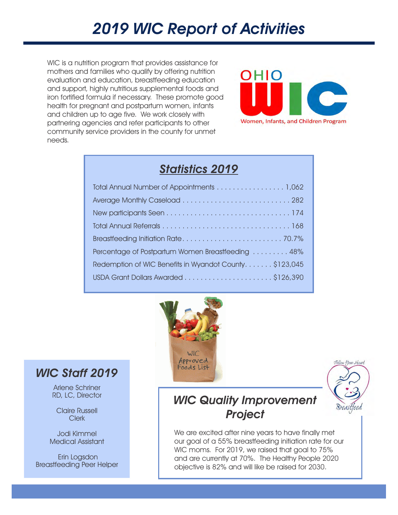## 2019 WIC Report of Activities

WIC is a nutrition program that provides assistance for mothers and families who qualify by offering nutrition evaluation and education, breastfeeding education and support, highly nutritious supplemental foods and iron fortified formula if necessary. These promote good health for pregnant and postpartum women, infants and children up to age five. We work closely with partnering agencies and refer participants to other community service providers in the county for unmet needs.



#### Statistics 2019

| Total Annual Number of Appointments 1,062             |
|-------------------------------------------------------|
|                                                       |
|                                                       |
|                                                       |
|                                                       |
| Percentage of Postpartum Women Breastfeeding  48%     |
| Redemption of WIC Benefits in Wyandot County\$123,045 |
|                                                       |
|                                                       |



#### WIC Staff 2019

RD, LC, Director Arlene Schriner

Claire Russell **Clerk** 

Jodi Kimmel Medical Assistant

Breastfeeding Peer Helper Erin Logsdon



We are excited after nine years to have finally met our goal of a 55% breastfeeding initiation rate for our WIC moms. For 2019, we raised that goal to 75% and are currently at 70%. The Healthy People 2020 objective is 82% and will like be raised for 2030.

Follow Your Heart